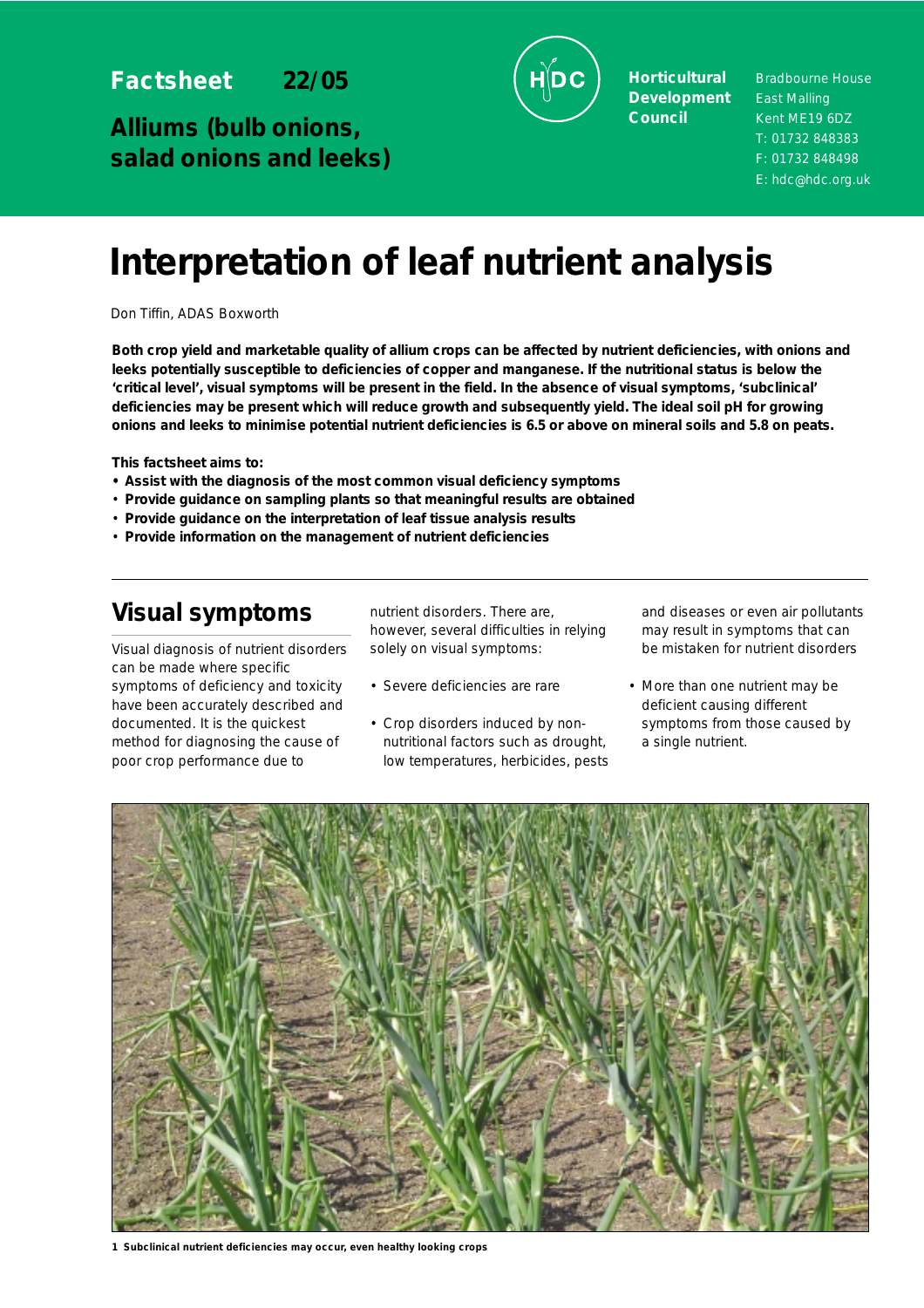**Factsheet 22/05**

**Alliums (bulb onions, salad onions and leeks)**



**Horticultural Development Council**

Bradbourne House East Malling Kent ME19 6DZ T: 01732 848383 F: 01732 848498 E: hdc@hdc.org.uk

# **Interpretation of leaf nutrient analysis**

Don Tiffin, ADAS Boxworth

**Both crop yield and marketable quality of allium crops can be affected by nutrient deficiencies, with onions and leeks potentially susceptible to deficiencies of copper and manganese. If the nutritional status is below the 'critical level', visual symptoms will be present in the field. In the absence of visual symptoms, 'subclinical' deficiencies may be present which will reduce growth and subsequently yield. The ideal soil pH for growing onions and leeks to minimise potential nutrient deficiencies is 6.5 or above on mineral soils and 5.8 on peats.**

**This factsheet aims to:**

- **Assist with the diagnosis of the most common visual deficiency symptoms**
- **Provide guidance on sampling plants so that meaningful results are obtained**
- **Provide guidance on the interpretation of leaf tissue analysis results**
- **Provide information on the management of nutrient deficiencies**

## **Visual symptoms**

Visual diagnosis of nutrient disorders can be made where specific symptoms of deficiency and toxicity have been accurately described and documented. It is the quickest method for diagnosing the cause of poor crop performance due to

nutrient disorders. There are, however, several difficulties in relying solely on visual symptoms:

- Severe deficiencies are rare
- Crop disorders induced by nonnutritional factors such as drought, low temperatures, herbicides, pests

and diseases or even air pollutants may result in symptoms that can be mistaken for nutrient disorders

• More than one nutrient may be deficient causing different symptoms from those caused by a single nutrient.



**1 Subclinical nutrient deficiencies may occur, even healthy looking crops**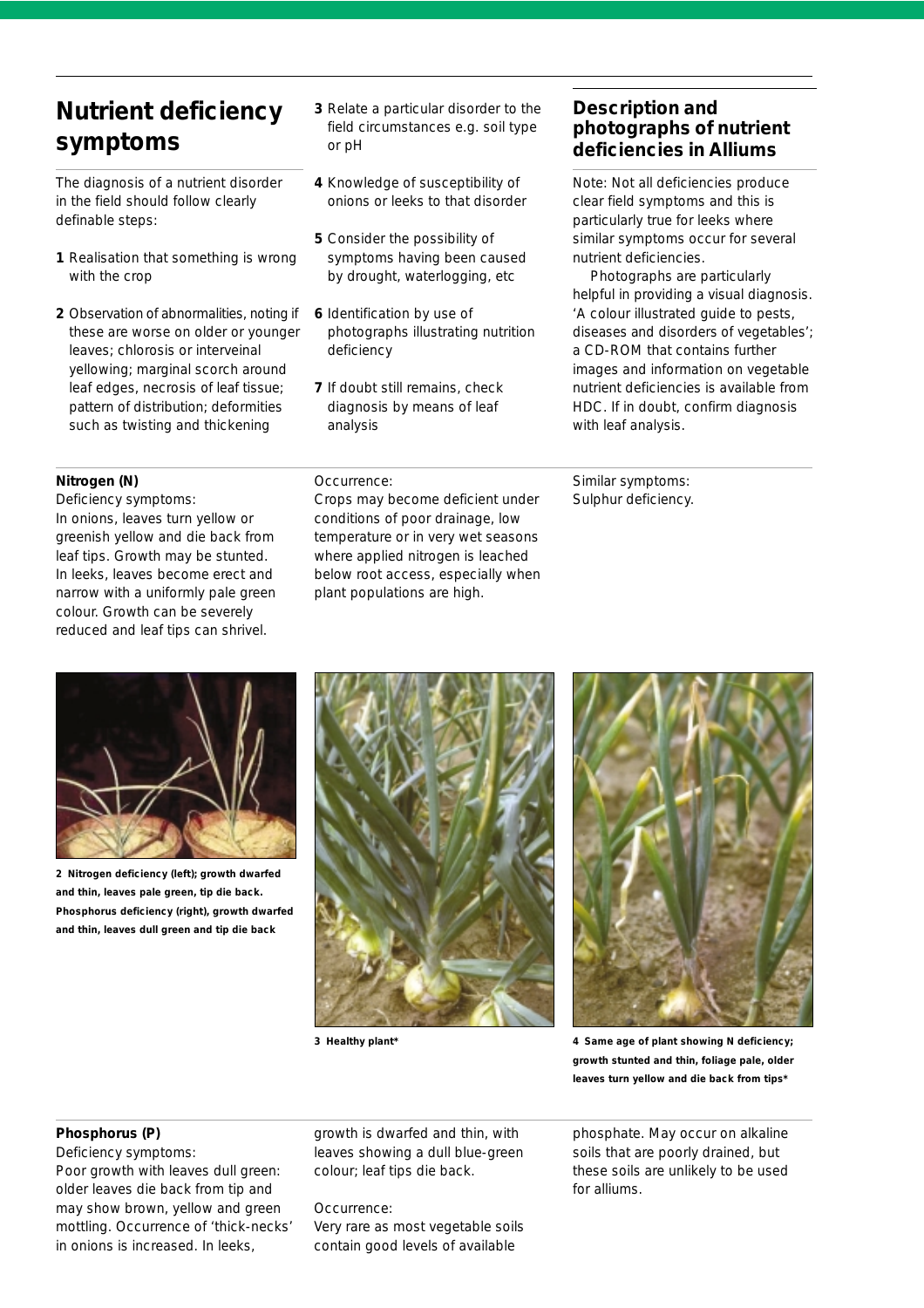# **Nutrient deficiency symptoms**

The diagnosis of a nutrient disorder in the field should follow clearly definable steps:

- **1** Realisation that something is wrong with the crop
- **2** Observation of abnormalities, noting if these are worse on older or younger leaves; chlorosis or interveinal yellowing; marginal scorch around leaf edges, necrosis of leaf tissue; pattern of distribution; deformities such as twisting and thickening

**Nitrogen (N)**

*Deficiency symptoms:* 

In onions, leaves turn yellow or greenish yellow and die back from leaf tips. Growth may be stunted. In leeks, leaves become erect and narrow with a uniformly pale green colour. Growth can be severely reduced and leaf tips can shrivel.

- **3** Relate a particular disorder to the field circumstances e.g. soil type or pH
- **4** Knowledge of susceptibility of onions or leeks to that disorder
- **5** Consider the possibility of symptoms having been caused by drought, waterlogging, etc
- **6** Identification by use of photographs illustrating nutrition deficiency
- **7** If doubt still remains, check diagnosis by means of leaf analysis

#### *Occurrence:*

Crops may become deficient under conditions of poor drainage, low temperature or in very wet seasons where applied nitrogen is leached below root access, especially when plant populations are high.

## **Description and photographs of nutrient deficiencies in Alliums**

Note: Not all deficiencies produce clear field symptoms and this is particularly true for leeks where similar symptoms occur for several nutrient deficiencies.

Photographs are particularly helpful in providing a visual diagnosis. *'A colour illustrated guide to pests, diseases and disorders of vegetables'*; a CD-ROM that contains further images and information on vegetable nutrient deficiencies is available from HDC. If in doubt, confirm diagnosis with leaf analysis.

*Similar symptoms:* Sulphur deficiency.



**2 Nitrogen deficiency (left); growth dwarfed and thin, leaves pale green, tip die back. Phosphorus deficiency (right), growth dwarfed and thin, leaves dull green and tip die back**





**3 Healthy plant\* 4 Same age of plant showing N deficiency; growth stunted and thin, foliage pale, older leaves turn yellow and die back from tips\***

#### **Phosphorus (P)**

*Deficiency symptoms:*  Poor growth with leaves dull green: older leaves die back from tip and may show brown, yellow and green mottling. Occurrence of 'thick-necks' in onions is increased. In leeks,

growth is dwarfed and thin, with leaves showing a dull blue-green colour; leaf tips die back.

*Occurrence*: Very rare as most vegetable soils contain good levels of available

phosphate. May occur on alkaline soils that are poorly drained, but these soils are unlikely to be used for alliums.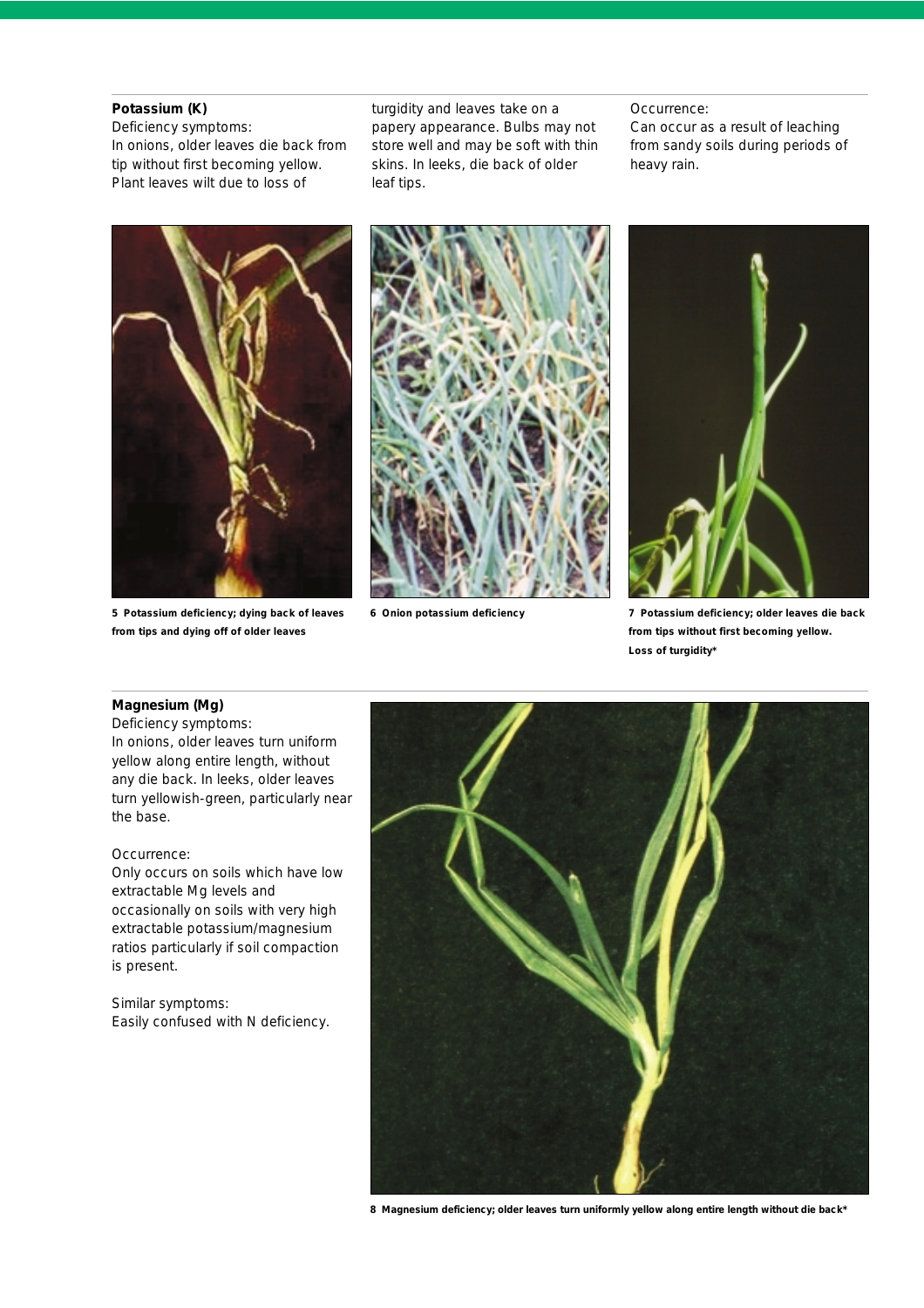#### **Potassium (K)**

*Deficiency symptoms:*  In onions, older leaves die back from tip without first becoming yellow. Plant leaves wilt due to loss of

turgidity and leaves take on a papery appearance. Bulbs may not store well and may be soft with thin skins. In leeks, die back of older leaf tips.

#### *Occurrence:*

Can occur as a result of leaching from sandy soils during periods of heavy rain.



**5 Potassium deficiency; dying back of leaves from tips and dying off of older leaves** 



**6 Onion potassium deficiency**



**7 Potassium deficiency; older leaves die back from tips without first becoming yellow. Loss of turgidity\***

#### **Magnesium (Mg)**

*Deficiency symptoms:* In onions, older leaves turn uniform yellow along entire length, without any die back. In leeks, older leaves turn yellowish-green, particularly near the base.

#### *Occurrence:*

Only occurs on soils which have low extractable Mg levels and occasionally on soils with very high extractable potassium/magnesium ratios particularly if soil compaction is present.

*Similar symptoms:* Easily confused with N deficiency*.* 



**8 Magnesium deficiency; older leaves turn uniformly yellow along entire length without die back\***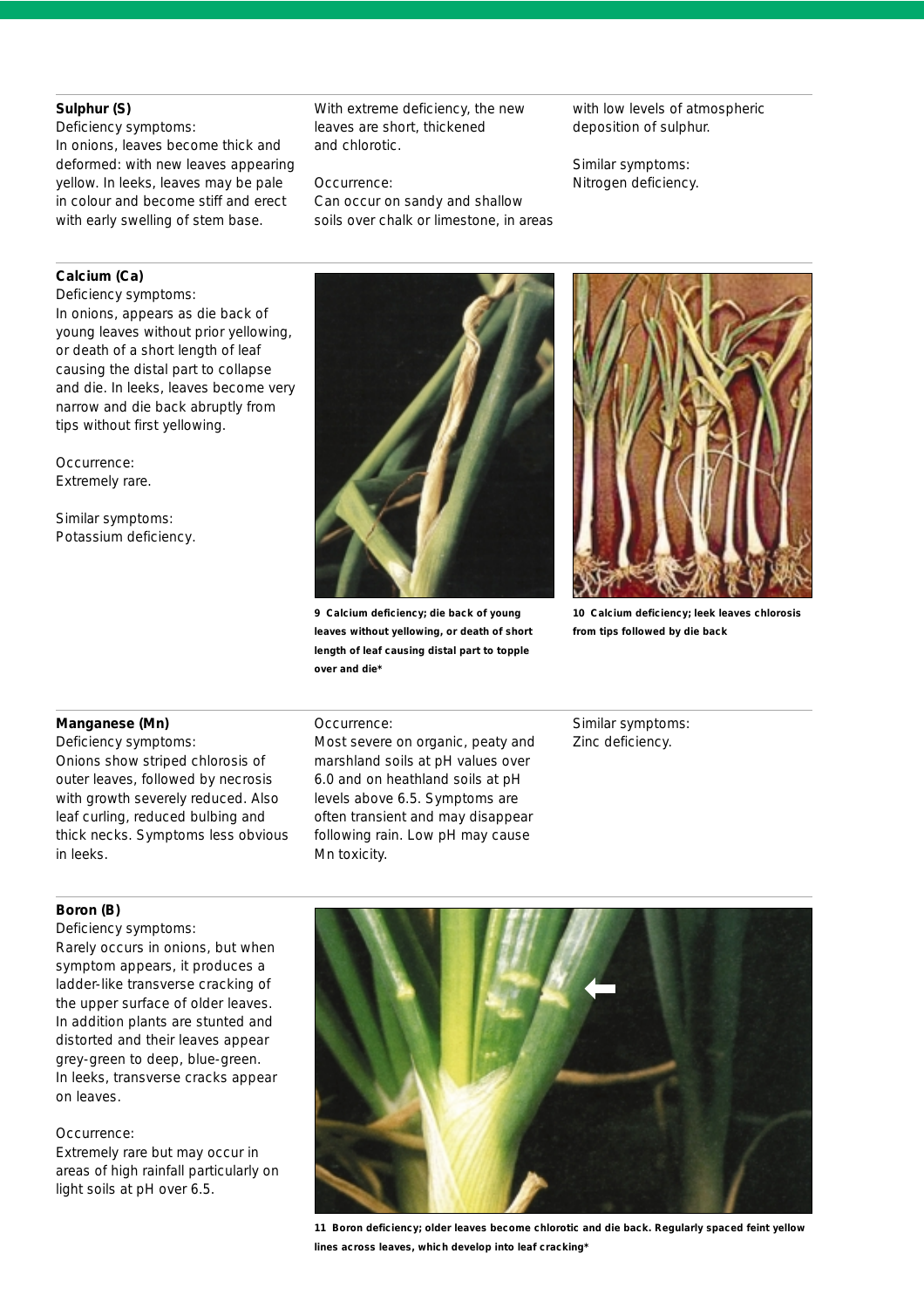#### **Sulphur (S)**

*Deficiency symptoms:*

In onions, leaves become thick and deformed: with new leaves appearing yellow. In leeks, leaves may be pale in colour and become stiff and erect with early swelling of stem base.

With extreme deficiency, the new leaves are short, thickened and chlorotic.

#### *Occurrence:*

Can occur on sandy and shallow soils over chalk or limestone, in areas with low levels of atmospheric deposition of sulphur.

*Similar symptoms:* Nitrogen deficiency.

#### **Calcium (Ca)**

*Deficiency symptoms:* In onions, appears as die back of young leaves without prior yellowing, or death of a short length of leaf causing the distal part to collapse and die. In leeks, leaves become very narrow and die back abruptly from tips without first yellowing.

*Occurrence:*  Extremely rare.

*Similar symptoms:*  Potassium deficiency*.* 



**9 Calcium deficiency; die back of young leaves without yellowing, or death of short length of leaf causing distal part to topple over and die\***



**10 Calcium deficiency; leek leaves chlorosis from tips followed by die back**

#### **Manganese (Mn)**

*Deficiency symptoms:* Onions show striped chlorosis of outer leaves, followed by necrosis with growth severely reduced. Also leaf curling, reduced bulbing and thick necks. Symptoms less obvious in leeks.

#### *Occurrence:*

Most severe on organic, peaty and marshland soils at pH values over 6.0 and on heathland soils at pH levels above 6.5. Symptoms are often transient and may disappear following rain. Low pH may cause Mn toxicity.

*Similar symptoms:*  Zinc deficiency.

#### **Boron (B)**

*Deficiency symptoms:*

Rarely occurs in onions, but when symptom appears, it produces a ladder-like transverse cracking of the upper surface of older leaves. In addition plants are stunted and distorted and their leaves appear grey-green to deep, blue-green. In leeks, transverse cracks appear on leaves.

#### *Occurrence:*

Extremely rare but may occur in areas of high rainfall particularly on light soils at pH over 6.5.



**11 Boron deficiency; older leaves become chlorotic and die back. Regularly spaced feint yellow lines across leaves, which develop into leaf cracking\***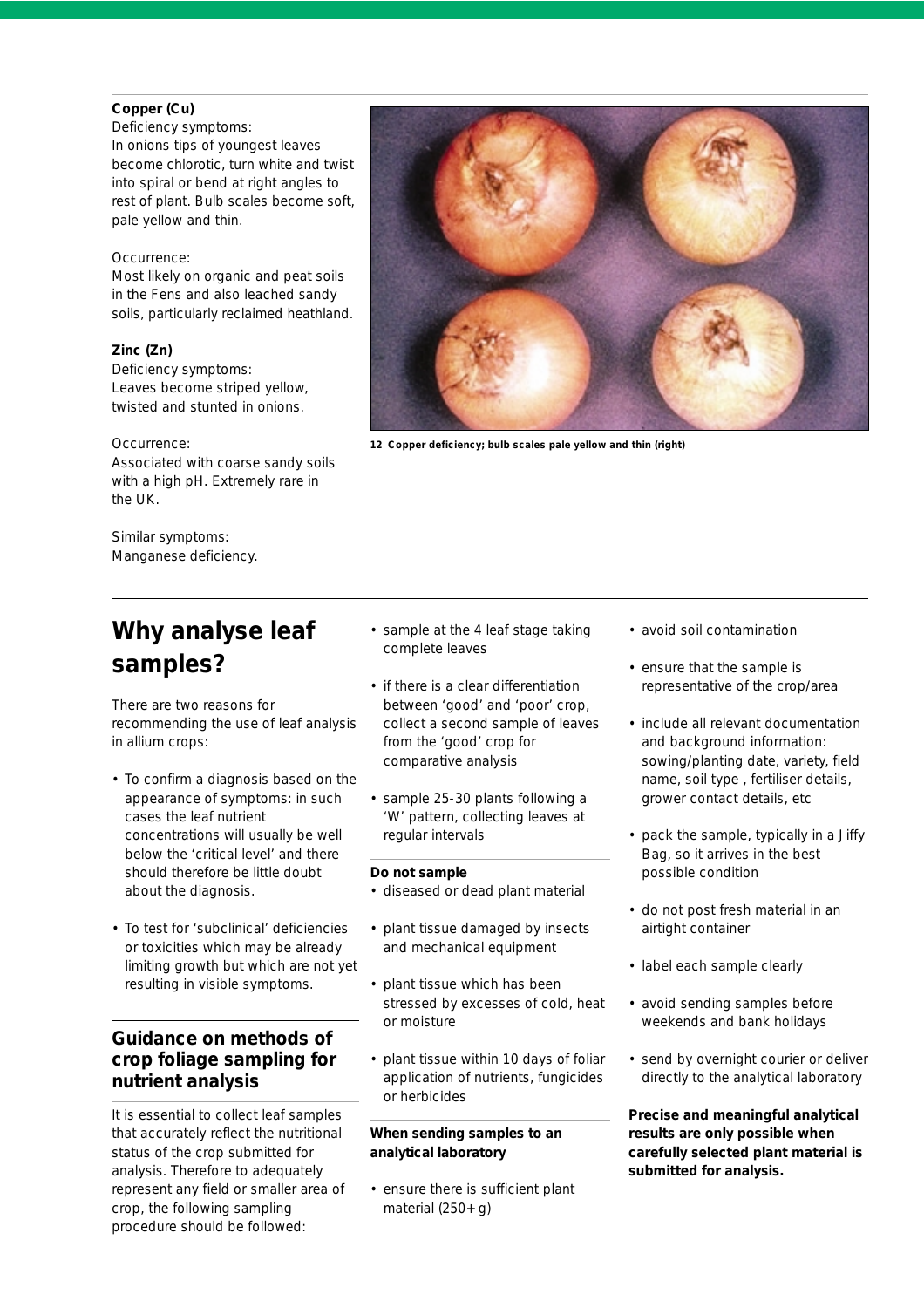#### **Copper (Cu)**

*Deficiency symptoms:*  In onions tips of youngest leaves become chlorotic, turn white and twist into spiral or bend at right angles to rest of plant. Bulb scales become soft, pale yellow and thin.

#### *Occurrence:*

Most likely on organic and peat soils in the Fens and also leached sandy soils, particularly reclaimed heathland.

#### **Zinc (Zn)**

*Deficiency symptoms:* Leaves become striped yellow, twisted and stunted in onions.

#### *Occurrence:*

Associated with coarse sandy soils with a high pH. Extremely rare in the UK.

*Similar symptoms:* Manganese deficiency.

# **Why analyse leaf samples?**

There are two reasons for recommending the use of leaf analysis in allium crops:

- To confirm a diagnosis based on the appearance of symptoms: in such cases the leaf nutrient concentrations will usually be well below the 'critical level' and there should therefore be little doubt about the diagnosis.
- To test for 'subclinical' deficiencies or toxicities which may be already limiting growth but which are not yet resulting in visible symptoms.

## **Guidance on methods of crop foliage sampling for nutrient analysis**

It is essential to collect leaf samples that accurately reflect the nutritional status of the crop submitted for analysis. Therefore to adequately represent any field or smaller area of crop, the following sampling procedure should be followed:

- sample at the 4 leaf stage taking complete leaves
- if there is a clear differentiation between 'good' and 'poor' crop, collect a second sample of leaves from the 'good' crop for comparative analysis
- sample 25-30 plants following a 'W' pattern, collecting leaves at regular intervals

#### **Do not sample**

- diseased or dead plant material
- plant tissue damaged by insects and mechanical equipment
- plant tissue which has been stressed by excesses of cold, heat or moisture
- plant tissue within 10 days of foliar application of nutrients, fungicides or herbicides

#### **When sending samples to an analytical laboratory**

• ensure there is sufficient plant material (250+ g)



- ensure that the sample is representative of the crop/area
- include all relevant documentation and background information: sowing/planting date, variety, field name, soil type , fertiliser details, grower contact details, etc
- pack the sample, typically in a Jiffy Bag, so it arrives in the best possible condition
- do not post fresh material in an airtight container
- label each sample clearly
- avoid sending samples before weekends and bank holidays
- send by overnight courier or deliver directly to the analytical laboratory

*Precise and meaningful analytical results are only possible when carefully selected plant material is submitted for analysis.*

**12 Copper deficiency; bulb scales pale yellow and thin (right)**

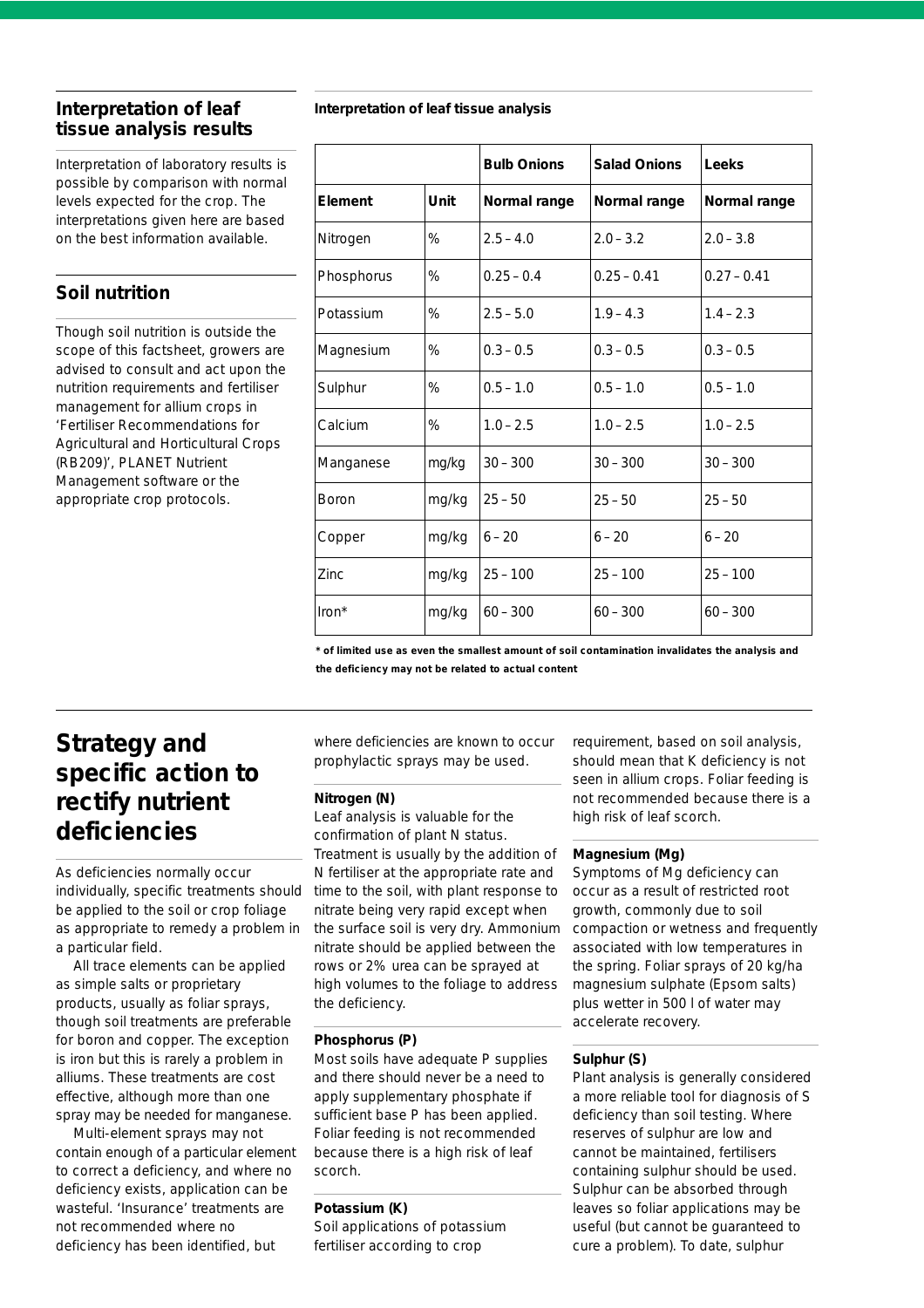# **tissue analysis results**

Interpretation of laboratory results is possible by comparison with normal levels expected for the crop. The interpretations given here are based on the best information available.

## **Soil nutrition**

Though soil nutrition is outside the scope of this factsheet, growers are advised to consult and act upon the nutrition requirements and fertiliser management for allium crops in *'Fertiliser Recommendations for Agricultural and Horticultural Crops (RB209)'*, PLANET Nutrient Management software or the appropriate crop protocols.

### **Interpretation of leaf Interpretation of leaf tissue analysis**

|            |       | <b>Bulb Onions</b> | <b>Salad Onions</b> | Leeks         |
|------------|-------|--------------------|---------------------|---------------|
| Element    | Unit  | Normal range       | Normal range        | Normal range  |
| Nitrogen   | %     | $2.5 - 4.0$        | $2.0 - 3.2$         | $2.0 - 3.8$   |
| Phosphorus | %     | $0.25 - 0.4$       | $0.25 - 0.41$       | $0.27 - 0.41$ |
| Potassium  | %     | $2.5 - 5.0$        | $1.9 - 4.3$         | $1.4 - 2.3$   |
| Magnesium  | %     | $0.3 - 0.5$        | $0.3 - 0.5$         | $0.3 - 0.5$   |
| Sulphur    | %     | $0.5 - 1.0$        | $0.5 - 1.0$         | $0.5 - 1.0$   |
| Calcium    | %     | $1.0 - 2.5$        | $1.0 - 2.5$         | $1.0 - 2.5$   |
| Manganese  | mg/kg | $30 - 300$         | $30 - 300$          | $30 - 300$    |
| Boron      | mg/kg | $25 - 50$          | $25 - 50$           | $25 - 50$     |
| Copper     | mg/kg | $6 - 20$           | $6 - 20$            | $6 - 20$      |
| Zinc       | mg/kg | $25 - 100$         | $25 - 100$          | $25 - 100$    |
| Iron*      | mg/kg | $60 - 300$         | $60 - 300$          | $60 - 300$    |

**\* of limited use as even the smallest amount of soil contamination invalidates the analysis and the deficiency may not be related to actual content**

## **Strategy and specific action to rectify nutrient deficiencies**

As deficiencies normally occur individually, specific treatments should be applied to the soil or crop foliage as appropriate to remedy a problem in a particular field.

All trace elements can be applied as simple salts or proprietary products, usually as foliar sprays, though soil treatments are preferable for boron and copper. The exception is iron but this is rarely a problem in alliums. These treatments are cost effective, although more than one spray may be needed for manganese.

Multi-element sprays may not contain enough of a particular element to correct a deficiency, and where no deficiency exists, application can be wasteful. 'Insurance' treatments are not recommended where no deficiency has been identified, but

where deficiencies are known to occur prophylactic sprays may be used.

#### **Nitrogen (N)**

Leaf analysis is valuable for the confirmation of plant N status. Treatment is usually by the addition of N fertiliser at the appropriate rate and time to the soil, with plant response to nitrate being very rapid except when the surface soil is very dry. Ammonium nitrate should be applied between the rows or 2% urea can be sprayed at high volumes to the foliage to address the deficiency.

#### **Phosphorus (P)**

Most soils have adequate P supplies and there should never be a need to apply supplementary phosphate if sufficient base P has been applied. Foliar feeding is not recommended because there is a high risk of leaf scorch.

#### **Potassium (K)**

Soil applications of potassium fertiliser according to crop

requirement, based on soil analysis, should mean that K deficiency is not seen in allium crops. Foliar feeding is not recommended because there is a high risk of leaf scorch.

#### **Magnesium (Mg)**

Symptoms of Mg deficiency can occur as a result of restricted root growth, commonly due to soil compaction or wetness and frequently associated with low temperatures in the spring. Foliar sprays of 20 kg/ha magnesium sulphate (Epsom salts) plus wetter in 500 l of water may accelerate recovery.

#### **Sulphur (S)**

Plant analysis is generally considered a more reliable tool for diagnosis of S deficiency than soil testing. Where reserves of sulphur are low and cannot be maintained, fertilisers containing sulphur should be used. Sulphur can be absorbed through leaves so foliar applications may be useful (but cannot be guaranteed to cure a problem). To date, sulphur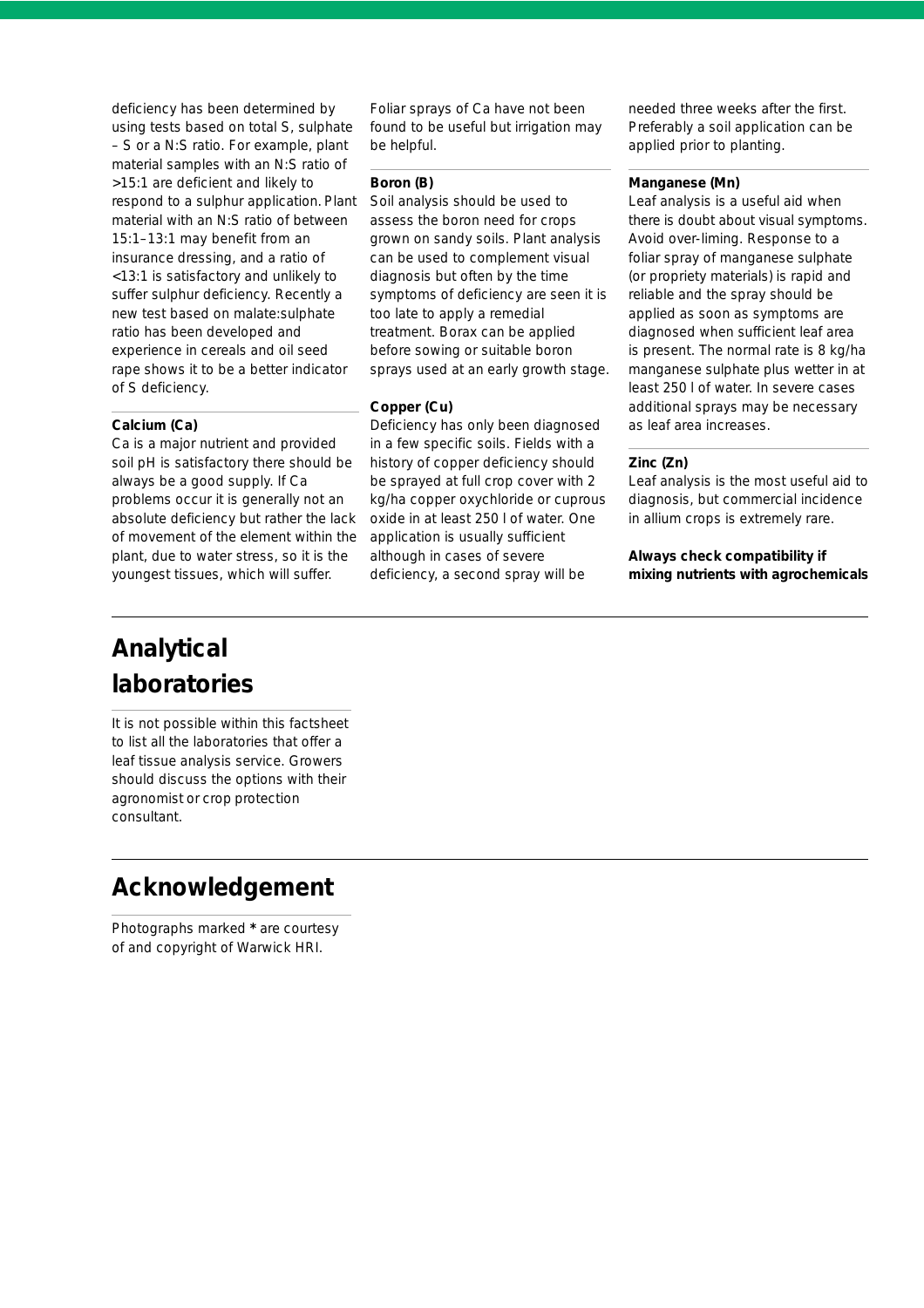deficiency has been determined by using tests based on total S, sulphate – S or a N:S ratio. For example, plant material samples with an N:S ratio of >15:1 are deficient and likely to respond to a sulphur application. Plant material with an N:S ratio of between 15:1–13:1 may benefit from an insurance dressing, and a ratio of <13:1 is satisfactory and unlikely to suffer sulphur deficiency. Recently a new test based on malate:sulphate ratio has been developed and experience in cereals and oil seed rape shows it to be a better indicator of S deficiency.

#### **Calcium (Ca)**

Ca is a major nutrient and provided soil pH is satisfactory there should be always be a good supply. If Ca problems occur it is generally not an absolute deficiency but rather the lack of movement of the element within the plant, due to water stress, so it is the youngest tissues, which will suffer.

Foliar sprays of Ca have not been found to be useful but irrigation may be helpful.

#### **Boron (B)**

Soil analysis should be used to assess the boron need for crops grown on sandy soils. Plant analysis can be used to complement visual diagnosis but often by the time symptoms of deficiency are seen it is too late to apply a remedial treatment. Borax can be applied before sowing or suitable boron sprays used at an early growth stage.

#### **Copper (Cu)**

Deficiency has only been diagnosed in a few specific soils. Fields with a history of copper deficiency should be sprayed at full crop cover with 2 kg/ha copper oxychloride or cuprous oxide in at least 250 l of water. One application is usually sufficient although in cases of severe deficiency, a second spray will be

needed three weeks after the first. Preferably a soil application can be applied prior to planting.

#### **Manganese (Mn)**

Leaf analysis is a useful aid when there is doubt about visual symptoms. Avoid over-liming. Response to a foliar spray of manganese sulphate (or propriety materials) is rapid and reliable and the spray should be applied as soon as symptoms are diagnosed when sufficient leaf area is present. The normal rate is 8 kg/ha manganese sulphate plus wetter in at least 250 l of water. In severe cases additional sprays may be necessary as leaf area increases.

#### **Zinc (Zn)**

Leaf analysis is the most useful aid to diagnosis, but commercial incidence in allium crops is extremely rare.

*Always check compatibility if mixing nutrients with agrochemicals*

# **Analytical laboratories**

It is not possible within this factsheet to list all the laboratories that offer a leaf tissue analysis service. Growers should discuss the options with their agronomist or crop protection consultant.

## **Acknowledgement**

Photographs marked **\*** are courtesy of and copyright of Warwick HRI.